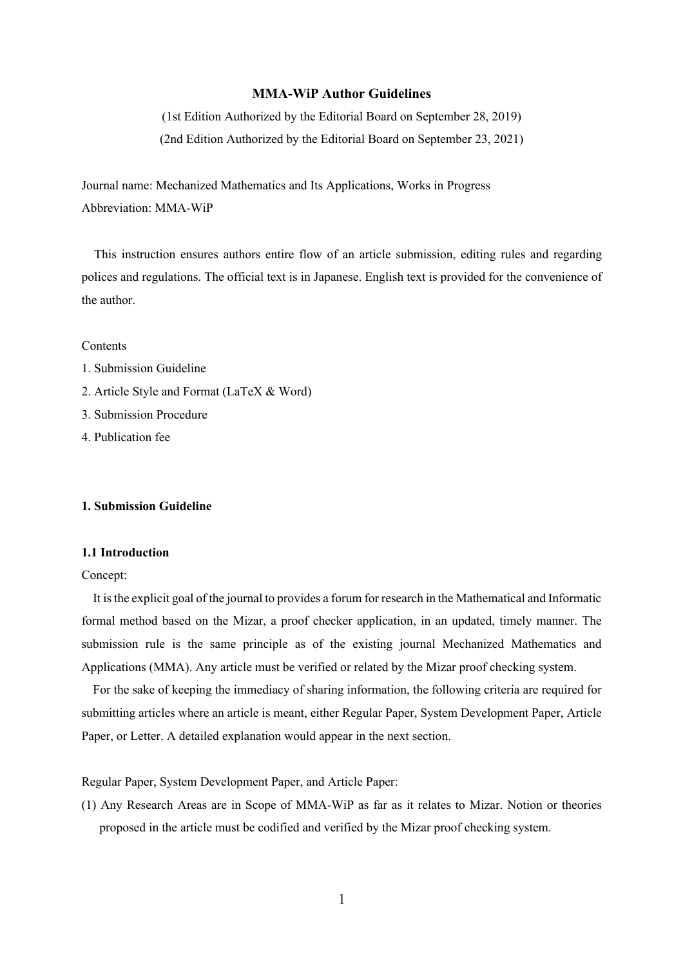### **MMA-WiP Author Guidelines**

(1st Edition Authorized by the Editorial Board on September 28, 2019) (2nd Edition Authorized by the Editorial Board on September 23, 2021)

Journal name: Mechanized Mathematics and Its Applications, Works in Progress Abbreviation: MMA-WiP

 This instruction ensures authors entire flow of an article submission, editing rules and regarding polices and regulations. The official text is in Japanese. English text is provided for the convenience of the author.

**Contents** 

- 1. Submission Guideline
- 2. Article Style and Format (LaTeX & Word)
- 3. Submission Procedure
- 4. Publication fee

### **1. Submission Guideline**

### **1.1 Introduction**

Concept:

It is the explicit goal of the journal to provides a forum for research in the Mathematical and Informatic formal method based on the Mizar, a proof checker application, in an updated, timely manner. The submission rule is the same principle as of the existing journal Mechanized Mathematics and Applications (MMA). Any article must be verified or related by the Mizar proof checking system.

For the sake of keeping the immediacy of sharing information, the following criteria are required for submitting articles where an article is meant, either Regular Paper, System Development Paper, Article Paper, or Letter. A detailed explanation would appear in the next section.

Regular Paper, System Development Paper, and Article Paper:

(1) Any Research Areas are in Scope of MMA-WiP as far as it relates to Mizar. Notion or theories proposed in the article must be codified and verified by the Mizar proof checking system.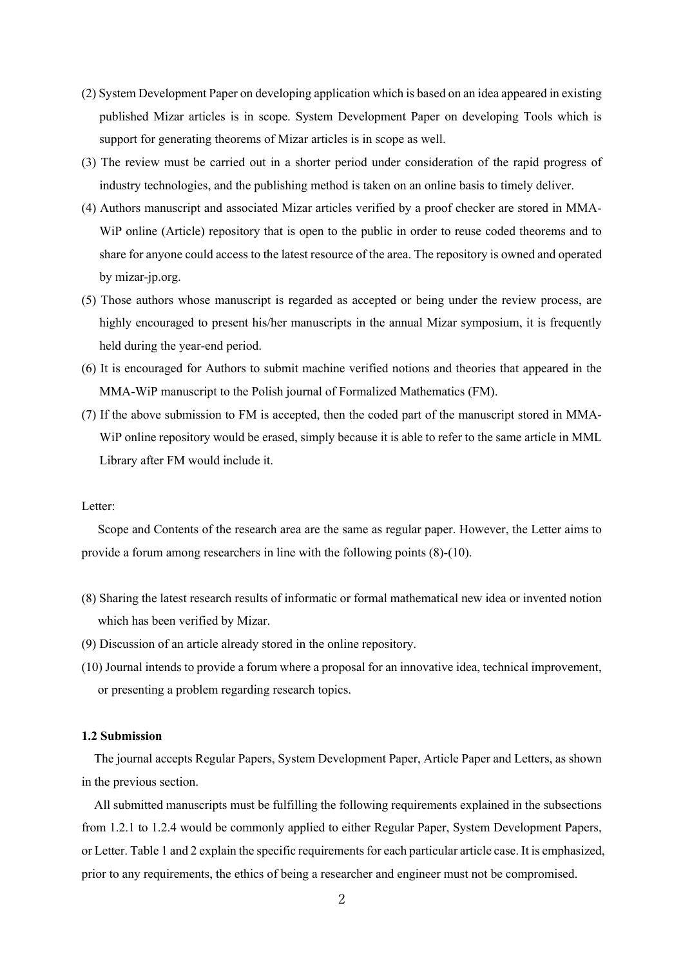- (2) System Development Paper on developing application which is based on an idea appeared in existing published Mizar articles is in scope. System Development Paper on developing Tools which is support for generating theorems of Mizar articles is in scope as well.
- (3) The review must be carried out in a shorter period under consideration of the rapid progress of industry technologies, and the publishing method is taken on an online basis to timely deliver.
- (4) Authors manuscript and associated Mizar articles verified by a proof checker are stored in MMA-WiP online (Article) repository that is open to the public in order to reuse coded theorems and to share for anyone could access to the latest resource of the area. The repository is owned and operated by mizar-jp.org.
- (5) Those authors whose manuscript is regarded as accepted or being under the review process, are highly encouraged to present his/her manuscripts in the annual Mizar symposium, it is frequently held during the year-end period.
- (6) It is encouraged for Authors to submit machine verified notions and theories that appeared in the MMA-WiP manuscript to the Polish journal of Formalized Mathematics (FM).
- (7) If the above submission to FM is accepted, then the coded part of the manuscript stored in MMA-WiP online repository would be erased, simply because it is able to refer to the same article in MML Library after FM would include it.

#### Letter:

Scope and Contents of the research area are the same as regular paper. However, the Letter aims to provide a forum among researchers in line with the following points (8)-(10).

- (8) Sharing the latest research results of informatic or formal mathematical new idea or invented notion which has been verified by Mizar.
- (9) Discussion of an article already stored in the online repository.
- (10) Journal intends to provide a forum where a proposal for an innovative idea, technical improvement, or presenting a problem regarding research topics.

## **1.2 Submission**

 The journal accepts Regular Papers, System Development Paper, Article Paper and Letters, as shown in the previous section.

 All submitted manuscripts must be fulfilling the following requirements explained in the subsections from 1.2.1 to 1.2.4 would be commonly applied to either Regular Paper, System Development Papers, or Letter. Table 1 and 2 explain the specific requirementsfor each particular article case. It is emphasized, prior to any requirements, the ethics of being a researcher and engineer must not be compromised.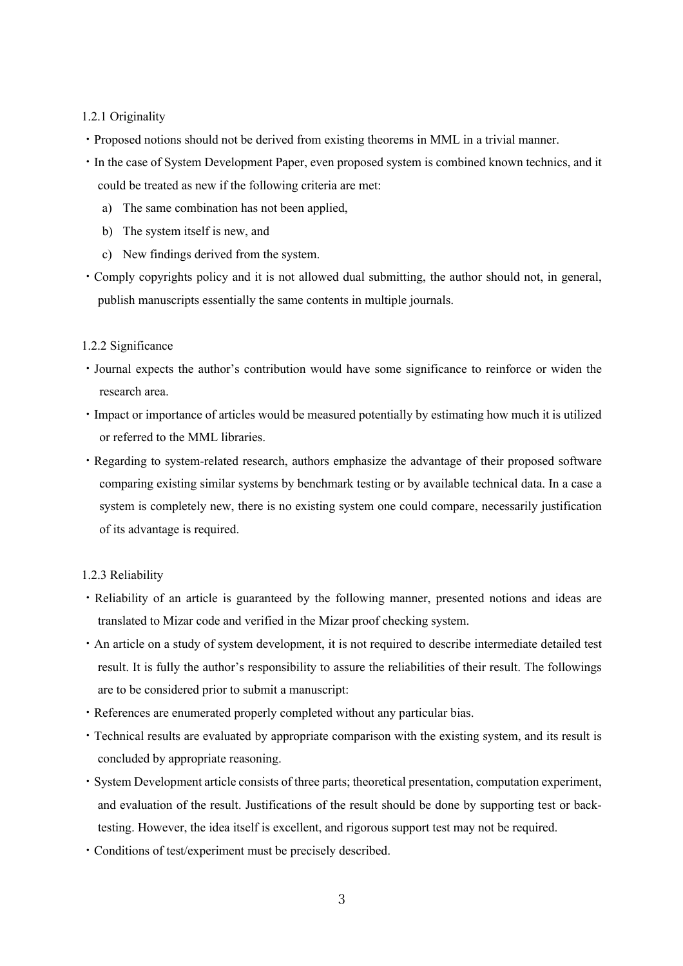### 1.2.1 Originality

- ・Proposed notions should not be derived from existing theorems in MML in a trivial manner.
- ・In the case of System Development Paper, even proposed system is combined known technics, and it could be treated as new if the following criteria are met:
	- a) The same combination has not been applied,
	- b) The system itself is new, and
	- c) New findings derived from the system.
- ・Comply copyrights policy and it is not allowed dual submitting, the author should not, in general, publish manuscripts essentially the same contents in multiple journals.

### 1.2.2 Significance

- ・Journal expects the author's contribution would have some significance to reinforce or widen the research area.
- ・Impact or importance of articles would be measured potentially by estimating how much it is utilized or referred to the MML libraries.
- ・Regarding to system-related research, authors emphasize the advantage of their proposed software comparing existing similar systems by benchmark testing or by available technical data. In a case a system is completely new, there is no existing system one could compare, necessarily justification of its advantage is required.

### 1.2.3 Reliability

- ・Reliability of an article is guaranteed by the following manner, presented notions and ideas are translated to Mizar code and verified in the Mizar proof checking system.
- ・An article on a study of system development, it is not required to describe intermediate detailed test result. It is fully the author's responsibility to assure the reliabilities of their result. The followings are to be considered prior to submit a manuscript:
- ・References are enumerated properly completed without any particular bias.
- ・Technical results are evaluated by appropriate comparison with the existing system, and its result is concluded by appropriate reasoning.
- ・System Development article consists of three parts; theoretical presentation, computation experiment, and evaluation of the result. Justifications of the result should be done by supporting test or backtesting. However, the idea itself is excellent, and rigorous support test may not be required.
- ・Conditions of test/experiment must be precisely described.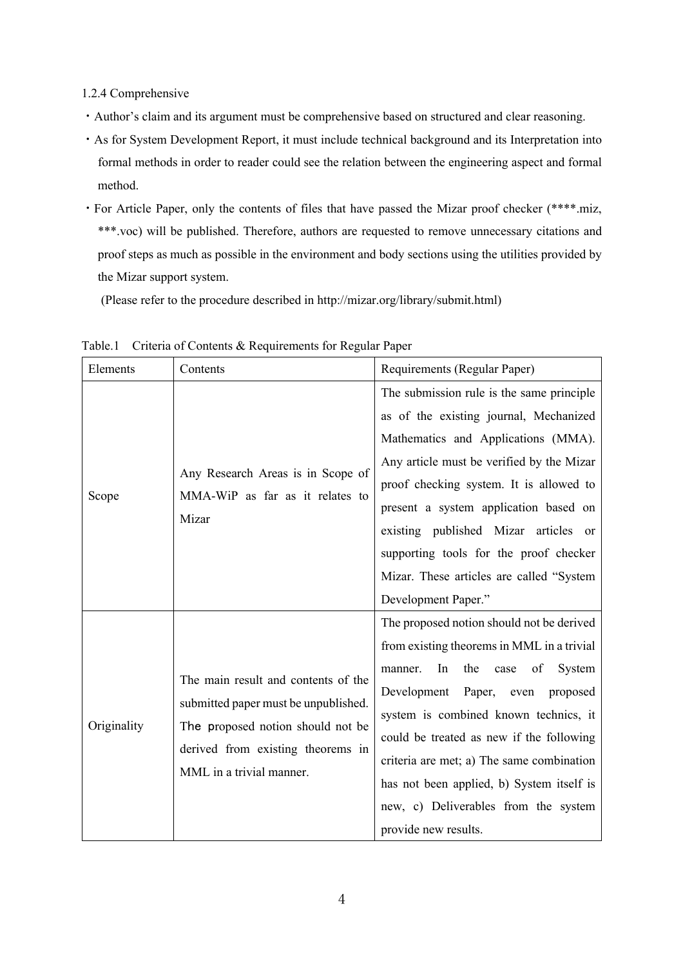1.2.4 Comprehensive

- ・Author's claim and its argument must be comprehensive based on structured and clear reasoning.
- ・As for System Development Report, it must include technical background and its Interpretation into formal methods in order to reader could see the relation between the engineering aspect and formal method.
- ・For Article Paper, only the contents of files that have passed the Mizar proof checker (\*\*\*\*.miz, \*\*\*.voc) will be published. Therefore, authors are requested to remove unnecessary citations and proof steps as much as possible in the environment and body sections using the utilities provided by the Mizar support system.

(Please refer to the procedure described in http://mizar.org/library/submit.html)

| Elements    | Contents                                                                                                                                                                          | Requirements (Regular Paper)                                                                                                                                                                                                                                                                                                                                                                                                     |
|-------------|-----------------------------------------------------------------------------------------------------------------------------------------------------------------------------------|----------------------------------------------------------------------------------------------------------------------------------------------------------------------------------------------------------------------------------------------------------------------------------------------------------------------------------------------------------------------------------------------------------------------------------|
| Scope       | Any Research Areas is in Scope of<br>MMA-WiP as far as it relates to<br>Mizar                                                                                                     | The submission rule is the same principle<br>as of the existing journal, Mechanized<br>Mathematics and Applications (MMA).<br>Any article must be verified by the Mizar<br>proof checking system. It is allowed to<br>present a system application based on<br>existing published Mizar articles or<br>supporting tools for the proof checker<br>Mizar. These articles are called "System<br>Development Paper."                 |
| Originality | The main result and contents of the<br>submitted paper must be unpublished.<br>The proposed notion should not be<br>derived from existing theorems in<br>MML in a trivial manner. | The proposed notion should not be derived<br>from existing theorems in MML in a trivial<br>In<br>the<br>of<br>System<br>case<br>manner.<br>Development<br>Paper,<br>even proposed<br>system is combined known technics, it<br>could be treated as new if the following<br>criteria are met; a) The same combination<br>has not been applied, b) System itself is<br>new, c) Deliverables from the system<br>provide new results. |

Table.1 Criteria of Contents & Requirements for Regular Paper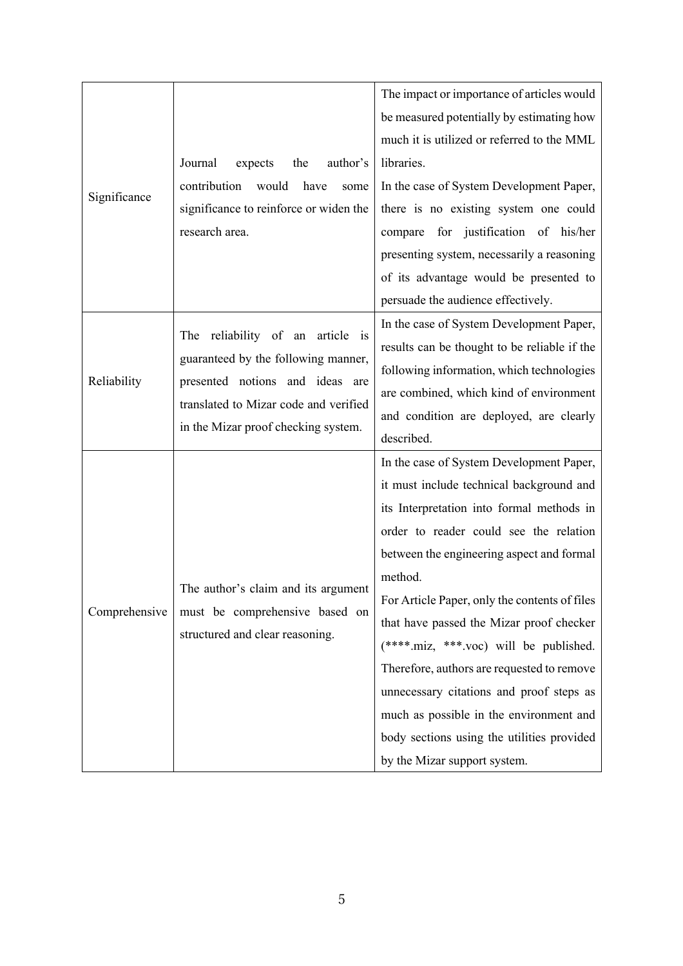|               |                                                                                                          | The impact or importance of articles would    |
|---------------|----------------------------------------------------------------------------------------------------------|-----------------------------------------------|
|               |                                                                                                          | be measured potentially by estimating how     |
|               |                                                                                                          | much it is utilized or referred to the MML    |
|               | Journal<br>expects<br>author's<br>the                                                                    | libraries.                                    |
|               | contribution<br>would<br>have<br>some                                                                    | In the case of System Development Paper,      |
| Significance  | significance to reinforce or widen the                                                                   | there is no existing system one could         |
|               | research area.                                                                                           | for justification of his/her<br>compare       |
|               |                                                                                                          | presenting system, necessarily a reasoning    |
|               |                                                                                                          | of its advantage would be presented to        |
|               |                                                                                                          | persuade the audience effectively.            |
|               | The reliability of an article is                                                                         | In the case of System Development Paper,      |
|               | guaranteed by the following manner,                                                                      | results can be thought to be reliable if the  |
| Reliability   |                                                                                                          | following information, which technologies     |
|               | presented notions and ideas are<br>translated to Mizar code and verified                                 | are combined, which kind of environment       |
|               | in the Mizar proof checking system.                                                                      | and condition are deployed, are clearly       |
|               |                                                                                                          | described.                                    |
|               |                                                                                                          | In the case of System Development Paper,      |
|               |                                                                                                          | it must include technical background and      |
|               |                                                                                                          | its Interpretation into formal methods in     |
|               |                                                                                                          | order to reader could see the relation        |
|               |                                                                                                          | between the engineering aspect and formal     |
| Comprehensive | The author's claim and its argument<br>must be comprehensive based on<br>structured and clear reasoning. | method.                                       |
|               |                                                                                                          | For Article Paper, only the contents of files |
|               |                                                                                                          | that have passed the Mizar proof checker      |
|               |                                                                                                          | (****.miz, ***.voc) will be published.        |
|               |                                                                                                          | Therefore, authors are requested to remove    |
|               |                                                                                                          |                                               |
|               |                                                                                                          | unnecessary citations and proof steps as      |
|               |                                                                                                          | much as possible in the environment and       |
|               |                                                                                                          | body sections using the utilities provided    |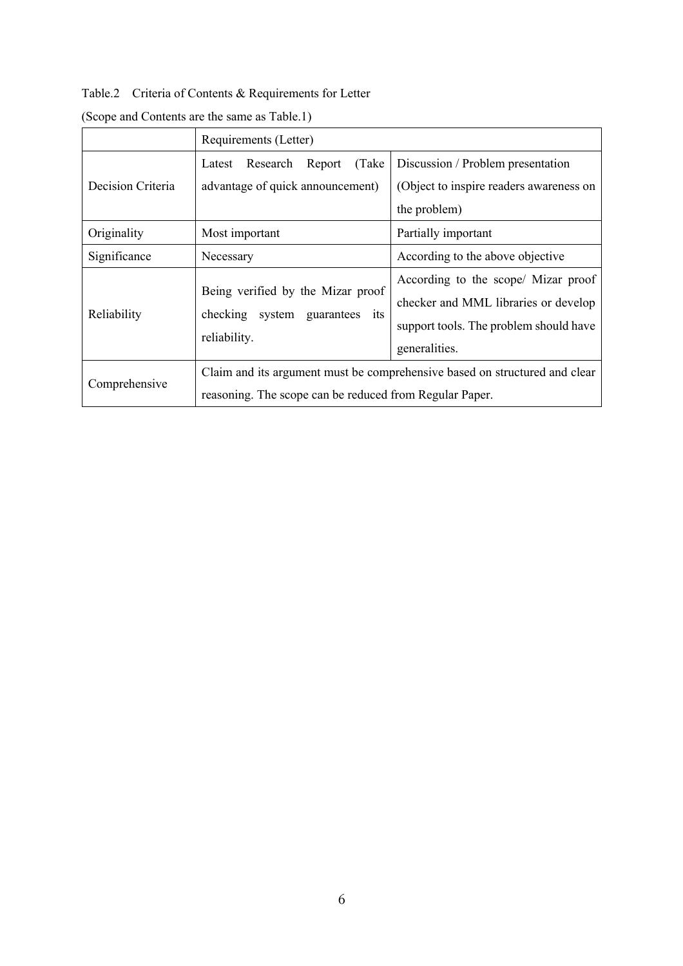Table.2 Criteria of Contents & Requirements for Letter

|                   | Requirements (Letter)                                                                                                                 |                                                                                                                                        |
|-------------------|---------------------------------------------------------------------------------------------------------------------------------------|----------------------------------------------------------------------------------------------------------------------------------------|
| Decision Criteria | (Take)<br>Research<br>Report<br>Latest<br>advantage of quick announcement)                                                            | Discussion / Problem presentation<br>(Object to inspire readers awareness on<br>the problem)                                           |
| Originality       | Most important                                                                                                                        | Partially important                                                                                                                    |
| Significance      | Necessary                                                                                                                             | According to the above objective                                                                                                       |
| Reliability       | Being verified by the Mizar proof<br>checking system guarantees its<br>reliability.                                                   | According to the scope/ Mizar proof<br>checker and MML libraries or develop<br>support tools. The problem should have<br>generalities. |
| Comprehensive     | Claim and its argument must be comprehensive based on structured and clear<br>reasoning. The scope can be reduced from Regular Paper. |                                                                                                                                        |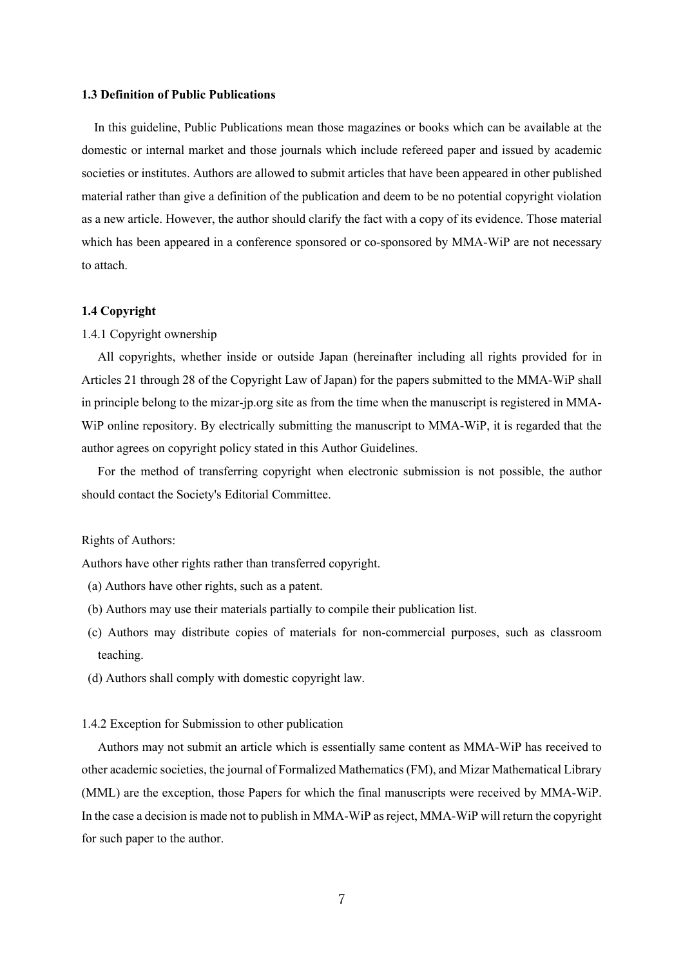### **1.3 Definition of Public Publications**

 In this guideline, Public Publications mean those magazines or books which can be available at the domestic or internal market and those journals which include refereed paper and issued by academic societies or institutes. Authors are allowed to submit articles that have been appeared in other published material rather than give a definition of the publication and deem to be no potential copyright violation as a new article. However, the author should clarify the fact with a copy of its evidence. Those material which has been appeared in a conference sponsored or co-sponsored by MMA-WiP are not necessary to attach.

#### **1.4 Copyright**

#### 1.4.1 Copyright ownership

All copyrights, whether inside or outside Japan (hereinafter including all rights provided for in Articles 21 through 28 of the Copyright Law of Japan) for the papers submitted to the MMA-WiP shall in principle belong to the mizar-jp.org site as from the time when the manuscript is registered in MMA-WiP online repository. By electrically submitting the manuscript to MMA-WiP, it is regarded that the author agrees on copyright policy stated in this Author Guidelines.

For the method of transferring copyright when electronic submission is not possible, the author should contact the Society's Editorial Committee.

#### Rights of Authors:

Authors have other rights rather than transferred copyright.

- (a) Authors have other rights, such as a patent.
- (b) Authors may use their materials partially to compile their publication list.
- (c) Authors may distribute copies of materials for non-commercial purposes, such as classroom teaching.
- (d) Authors shall comply with domestic copyright law.

#### 1.4.2 Exception for Submission to other publication

Authors may not submit an article which is essentially same content as MMA-WiP has received to other academic societies, the journal of Formalized Mathematics (FM), and Mizar Mathematical Library (MML) are the exception, those Papers for which the final manuscripts were received by MMA-WiP. In the case a decision is made not to publish in MMA-WiP as reject, MMA-WiP will return the copyright for such paper to the author.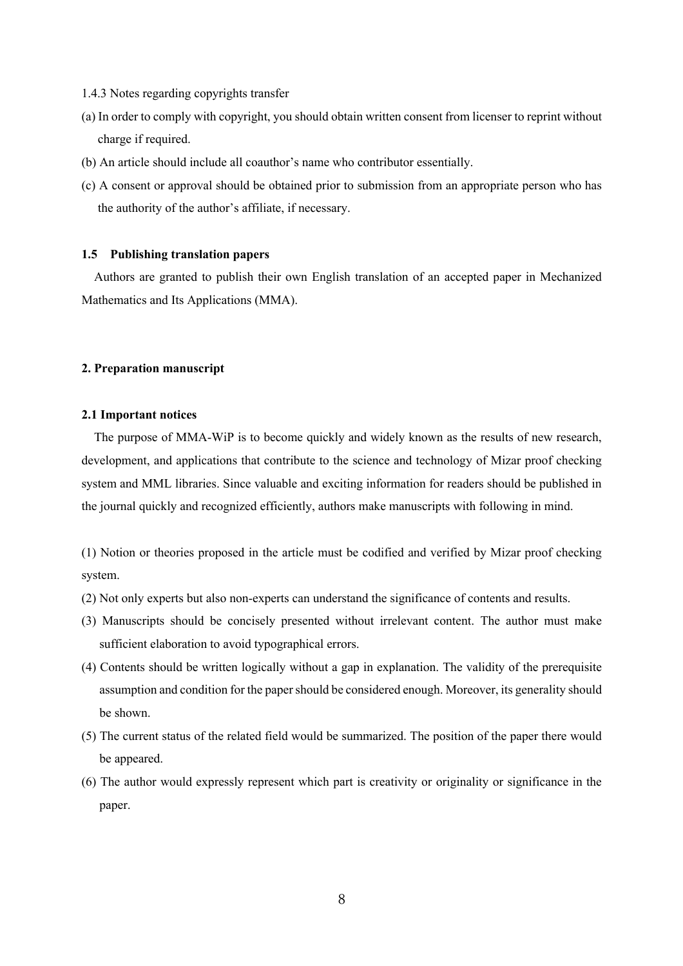- 1.4.3 Notes regarding copyrights transfer
- (a) In order to comply with copyright, you should obtain written consent from licenser to reprint without charge if required.
- (b) An article should include all coauthor's name who contributor essentially.
- (c) A consent or approval should be obtained prior to submission from an appropriate person who has the authority of the author's affiliate, if necessary.

### **1.5 Publishing translation papers**

Authors are granted to publish their own English translation of an accepted paper in Mechanized Mathematics and Its Applications (MMA).

### **2. Preparation manuscript**

#### **2.1 Important notices**

The purpose of MMA-WiP is to become quickly and widely known as the results of new research, development, and applications that contribute to the science and technology of Mizar proof checking system and MML libraries. Since valuable and exciting information for readers should be published in the journal quickly and recognized efficiently, authors make manuscripts with following in mind.

(1) Notion or theories proposed in the article must be codified and verified by Mizar proof checking system.

- (2) Not only experts but also non-experts can understand the significance of contents and results.
- (3) Manuscripts should be concisely presented without irrelevant content. The author must make sufficient elaboration to avoid typographical errors.
- (4) Contents should be written logically without a gap in explanation. The validity of the prerequisite assumption and condition for the paper should be considered enough. Moreover, its generality should be shown.
- (5) The current status of the related field would be summarized. The position of the paper there would be appeared.
- (6) The author would expressly represent which part is creativity or originality or significance in the paper.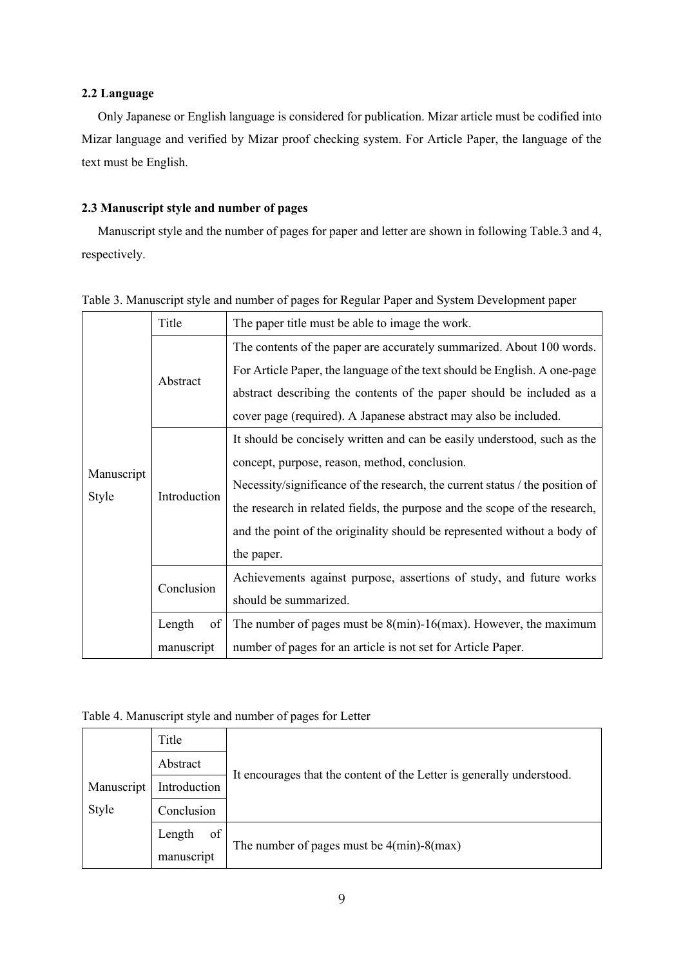### **2.2 Language**

Only Japanese or English language is considered for publication. Mizar article must be codified into Mizar language and verified by Mizar proof checking system. For Article Paper, the language of the text must be English.

# **2.3 Manuscript style and number of pages**

Manuscript style and the number of pages for paper and letter are shown in following Table.3 and 4, respectively.

|                     | Title        | The paper title must be able to image the work.                              |
|---------------------|--------------|------------------------------------------------------------------------------|
| Manuscript<br>Style | Abstract     | The contents of the paper are accurately summarized. About 100 words.        |
|                     |              | For Article Paper, the language of the text should be English. A one-page    |
|                     |              | abstract describing the contents of the paper should be included as a        |
|                     |              | cover page (required). A Japanese abstract may also be included.             |
|                     | Introduction | It should be concisely written and can be easily understood, such as the     |
|                     |              | concept, purpose, reason, method, conclusion.                                |
|                     |              | Necessity/significance of the research, the current status / the position of |
|                     |              | the research in related fields, the purpose and the scope of the research,   |
|                     |              | and the point of the originality should be represented without a body of     |
|                     |              | the paper.                                                                   |
|                     | Conclusion   | Achievements against purpose, assertions of study, and future works          |
|                     |              | should be summarized.                                                        |
|                     | Length<br>of | The number of pages must be $8$ (min)-16(max). However, the maximum          |
|                     | manuscript   | number of pages for an article is not set for Article Paper.                 |

Table 3. Manuscript style and number of pages for Regular Paper and System Development paper

### Table 4. Manuscript style and number of pages for Letter

|            | Title        |                                                                       |  |
|------------|--------------|-----------------------------------------------------------------------|--|
|            | Abstract     |                                                                       |  |
| Manuscript | Introduction | It encourages that the content of the Letter is generally understood. |  |
| Style      | Conclusion   |                                                                       |  |
|            | of<br>Length | The number of pages must be $4(min) - 8(max)$                         |  |
|            | manuscript   |                                                                       |  |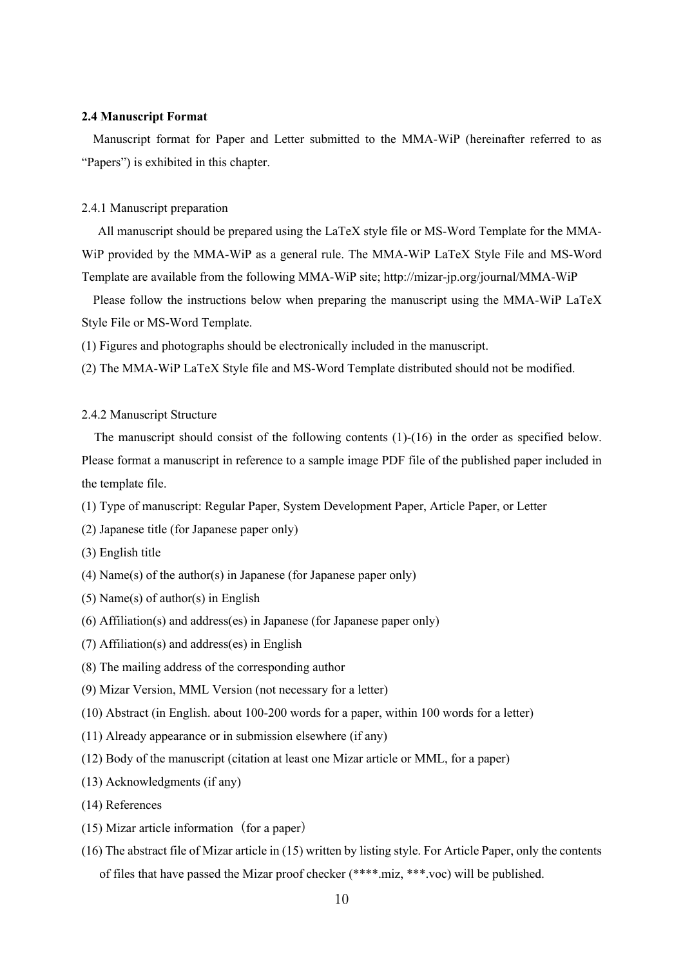### **2.4 Manuscript Format**

Manuscript format for Paper and Letter submitted to the MMA-WiP (hereinafter referred to as "Papers") is exhibited in this chapter.

### 2.4.1 Manuscript preparation

All manuscript should be prepared using the LaTeX style file or MS-Word Template for the MMA-WiP provided by the MMA-WiP as a general rule. The MMA-WiP LaTeX Style File and MS-Word Template are available from the following MMA-WiP site; http://mizar-jp.org/journal/MMA-WiP

Please follow the instructions below when preparing the manuscript using the MMA-WiP LaTeX Style File or MS-Word Template.

(1) Figures and photographs should be electronically included in the manuscript.

(2) The MMA-WiP LaTeX Style file and MS-Word Template distributed should not be modified.

#### 2.4.2 Manuscript Structure

The manuscript should consist of the following contents (1)-(16) in the order as specified below. Please format a manuscript in reference to a sample image PDF file of the published paper included in the template file.

- (1) Type of manuscript: Regular Paper, System Development Paper, Article Paper, or Letter
- (2) Japanese title (for Japanese paper only)
- (3) English title
- (4) Name(s) of the author(s) in Japanese (for Japanese paper only)
- (5) Name(s) of author(s) in English
- (6) Affiliation(s) and address(es) in Japanese (for Japanese paper only)
- (7) Affiliation(s) and address(es) in English
- (8) The mailing address of the corresponding author
- (9) Mizar Version, MML Version (not necessary for a letter)
- (10) Abstract (in English. about 100-200 words for a paper, within 100 words for a letter)
- (11) Already appearance or in submission elsewhere (if any)
- (12) Body of the manuscript (citation at least one Mizar article or MML, for a paper)
- (13) Acknowledgments (if any)
- (14) References
- $(15)$  Mizar article information (for a paper)
- (16) The abstract file of Mizar article in (15) written by listing style. For Article Paper, only the contents of files that have passed the Mizar proof checker (\*\*\*\*.miz, \*\*\*.voc) will be published.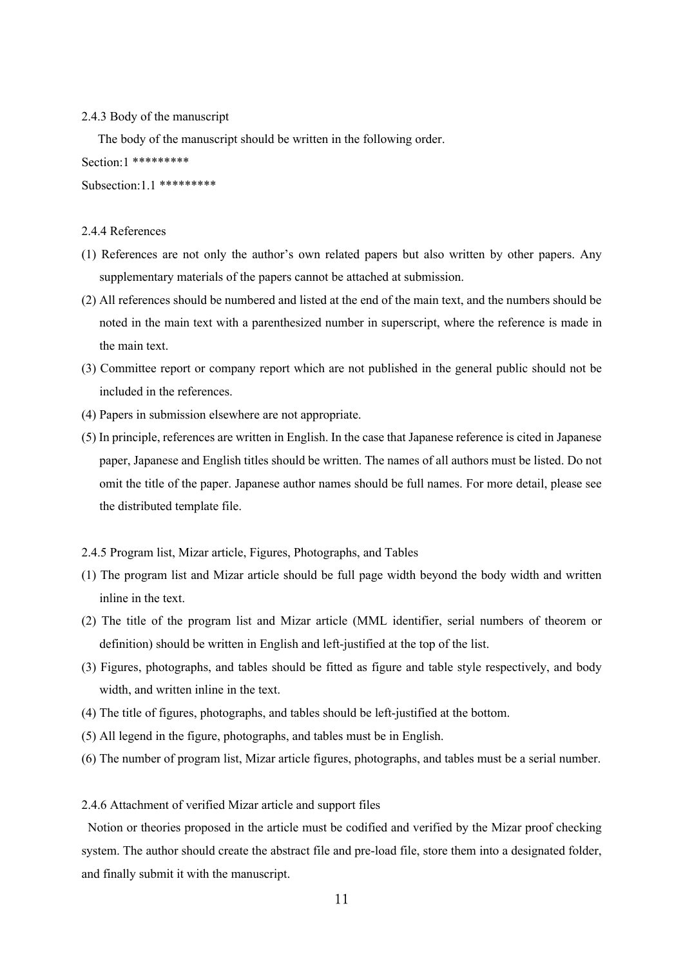#### 2.4.3 Body of the manuscript

The body of the manuscript should be written in the following order.

Section:1 \*\*\*\*\*\*\*\*\*

Subsection:1.1 \*\*\*\*\*\*\*\*\*

### 2.4.4 References

- (1) References are not only the author's own related papers but also written by other papers. Any supplementary materials of the papers cannot be attached at submission.
- (2) All references should be numbered and listed at the end of the main text, and the numbers should be noted in the main text with a parenthesized number in superscript, where the reference is made in the main text.
- (3) Committee report or company report which are not published in the general public should not be included in the references.
- (4) Papers in submission elsewhere are not appropriate.
- (5) In principle, references are written in English. In the case that Japanese reference is cited in Japanese paper, Japanese and English titles should be written. The names of all authors must be listed. Do not omit the title of the paper. Japanese author names should be full names. For more detail, please see the distributed template file.

### 2.4.5 Program list, Mizar article, Figures, Photographs, and Tables

- (1) The program list and Mizar article should be full page width beyond the body width and written inline in the text.
- (2) The title of the program list and Mizar article (MML identifier, serial numbers of theorem or definition) should be written in English and left-justified at the top of the list.
- (3) Figures, photographs, and tables should be fitted as figure and table style respectively, and body width, and written inline in the text.
- (4) The title of figures, photographs, and tables should be left-justified at the bottom.
- (5) All legend in the figure, photographs, and tables must be in English.
- (6) The number of program list, Mizar article figures, photographs, and tables must be a serial number.

#### 2.4.6 Attachment of verified Mizar article and support files

Notion or theories proposed in the article must be codified and verified by the Mizar proof checking system. The author should create the abstract file and pre-load file, store them into a designated folder, and finally submit it with the manuscript.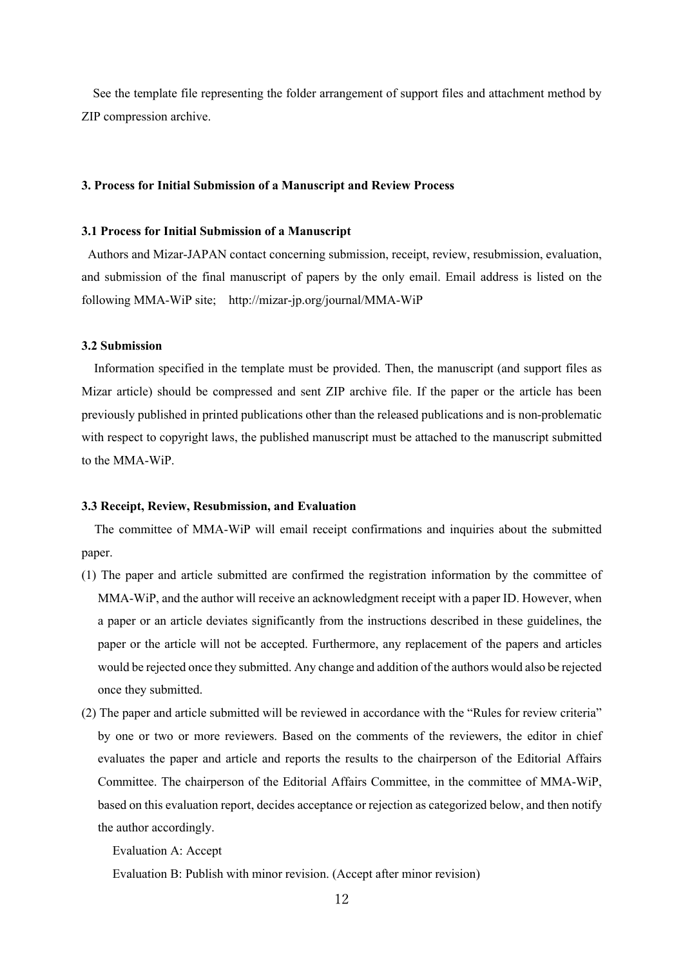See the template file representing the folder arrangement of support files and attachment method by ZIP compression archive.

### **3. Process for Initial Submission of a Manuscript and Review Process**

### **3.1 Process for Initial Submission of a Manuscript**

Authors and Mizar-JAPAN contact concerning submission, receipt, review, resubmission, evaluation, and submission of the final manuscript of papers by the only email. Email address is listed on the following MMA-WiP site; http://mizar-jp.org/journal/MMA-WiP

### **3.2 Submission**

Information specified in the template must be provided. Then, the manuscript (and support files as Mizar article) should be compressed and sent ZIP archive file. If the paper or the article has been previously published in printed publications other than the released publications and is non-problematic with respect to copyright laws, the published manuscript must be attached to the manuscript submitted to the MMA-WiP.

#### **3.3 Receipt, Review, Resubmission, and Evaluation**

The committee of MMA-WiP will email receipt confirmations and inquiries about the submitted paper.

- (1) The paper and article submitted are confirmed the registration information by the committee of MMA-WiP, and the author will receive an acknowledgment receipt with a paper ID. However, when a paper or an article deviates significantly from the instructions described in these guidelines, the paper or the article will not be accepted. Furthermore, any replacement of the papers and articles would be rejected once they submitted. Any change and addition of the authors would also be rejected once they submitted.
- (2) The paper and article submitted will be reviewed in accordance with the "Rules for review criteria" by one or two or more reviewers. Based on the comments of the reviewers, the editor in chief evaluates the paper and article and reports the results to the chairperson of the Editorial Affairs Committee. The chairperson of the Editorial Affairs Committee, in the committee of MMA-WiP, based on this evaluation report, decides acceptance or rejection as categorized below, and then notify the author accordingly.

Evaluation A: Accept

Evaluation B: Publish with minor revision. (Accept after minor revision)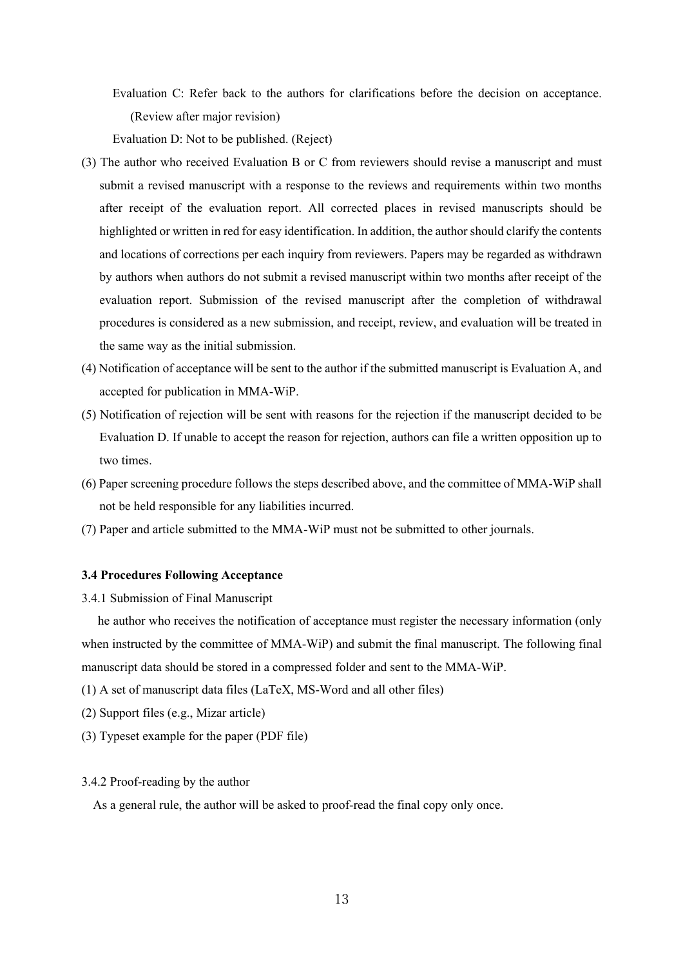Evaluation C: Refer back to the authors for clarifications before the decision on acceptance. (Review after major revision)

Evaluation D: Not to be published. (Reject)

- (3) The author who received Evaluation B or C from reviewers should revise a manuscript and must submit a revised manuscript with a response to the reviews and requirements within two months after receipt of the evaluation report. All corrected places in revised manuscripts should be highlighted or written in red for easy identification. In addition, the author should clarify the contents and locations of corrections per each inquiry from reviewers. Papers may be regarded as withdrawn by authors when authors do not submit a revised manuscript within two months after receipt of the evaluation report. Submission of the revised manuscript after the completion of withdrawal procedures is considered as a new submission, and receipt, review, and evaluation will be treated in the same way as the initial submission.
- (4) Notification of acceptance will be sent to the author if the submitted manuscript is Evaluation A, and accepted for publication in MMA-WiP.
- (5) Notification of rejection will be sent with reasons for the rejection if the manuscript decided to be Evaluation D. If unable to accept the reason for rejection, authors can file a written opposition up to two times.
- (6) Paper screening procedure follows the steps described above, and the committee of MMA-WiP shall not be held responsible for any liabilities incurred.
- (7) Paper and article submitted to the MMA-WiP must not be submitted to other journals.

### **3.4 Procedures Following Acceptance**

3.4.1 Submission of Final Manuscript

he author who receives the notification of acceptance must register the necessary information (only when instructed by the committee of MMA-WiP) and submit the final manuscript. The following final manuscript data should be stored in a compressed folder and sent to the MMA-WiP.

- (1) A set of manuscript data files (LaTeX, MS-Word and all other files)
- (2) Support files (e.g., Mizar article)
- (3) Typeset example for the paper (PDF file)

### 3.4.2 Proof-reading by the author

As a general rule, the author will be asked to proof-read the final copy only once.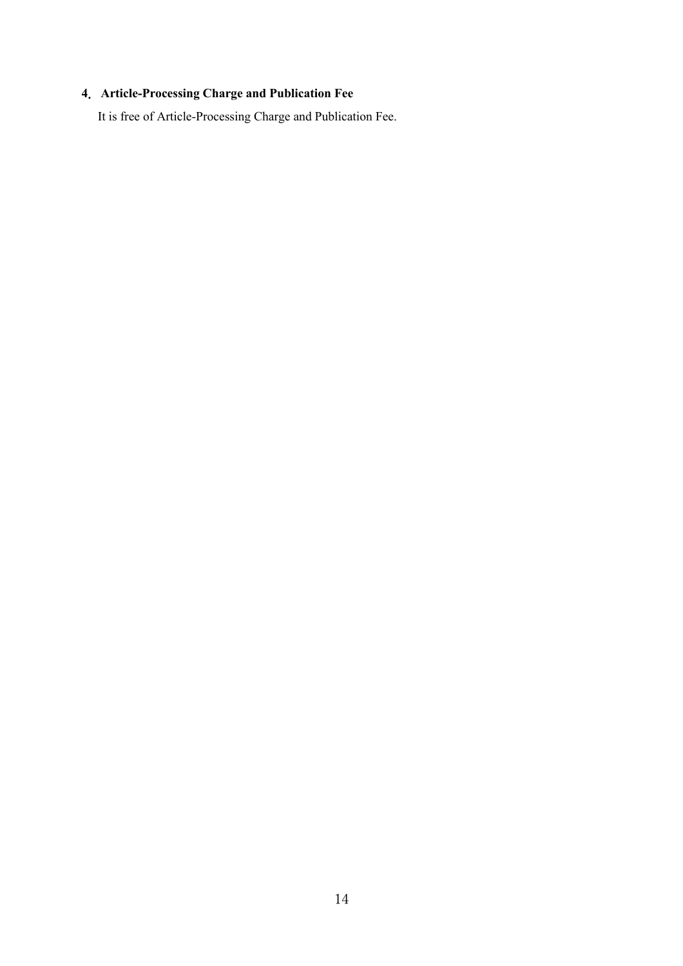# .**Article-Processing Charge and Publication Fee**

It is free of Article-Processing Charge and Publication Fee.